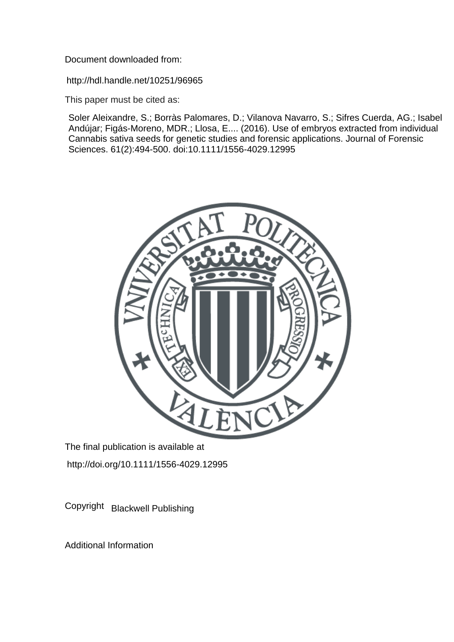Document downloaded from:

http://hdl.handle.net/10251/96965

This paper must be cited as:

Soler Aleixandre, S.; Borràs Palomares, D.; Vilanova Navarro, S.; Sifres Cuerda, AG.; Isabel Andújar; Figás-Moreno, MDR.; Llosa, E.... (2016). Use of embryos extracted from individual Cannabis sativa seeds for genetic studies and forensic applications. Journal of Forensic Sciences. 61(2):494-500. doi:10.1111/1556-4029.12995



The final publication is available at http://doi.org/10.1111/1556-4029.12995

Copyright Blackwell Publishing

Additional Information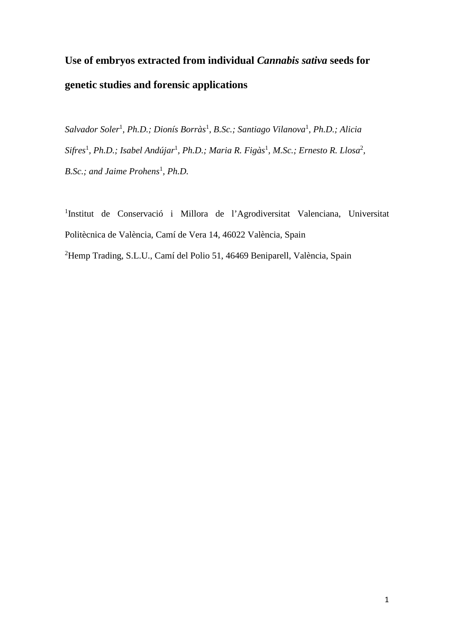# **Use of embryos extracted from individual** *Cannabis sativa* **seeds for genetic studies and forensic applications**

*Salvador Soler*<sup>1</sup> *, Ph.D.; Dionís Borràs*<sup>1</sup> *, B.Sc.; Santiago Vilanova*<sup>1</sup> *, Ph.D.; Alicia Sifres*<sup>1</sup> *, Ph.D.; Isabel Andújar*<sup>1</sup> *, Ph.D.; Maria R. Figàs*<sup>1</sup> *, M.Sc.; Ernesto R. Llosa*<sup>2</sup> *, B.Sc.; and Jaime Prohens*<sup>1</sup> *, Ph.D.*

<sup>1</sup>Institut de Conservació i Millora de l'Agrodiversitat Valenciana, Universitat Politècnica de València, Camí de Vera 14, 46022 València, Spain <sup>2</sup>Hemp Trading, S.L.U., Camí del Polio 51, 46469 Beniparell, València, Spain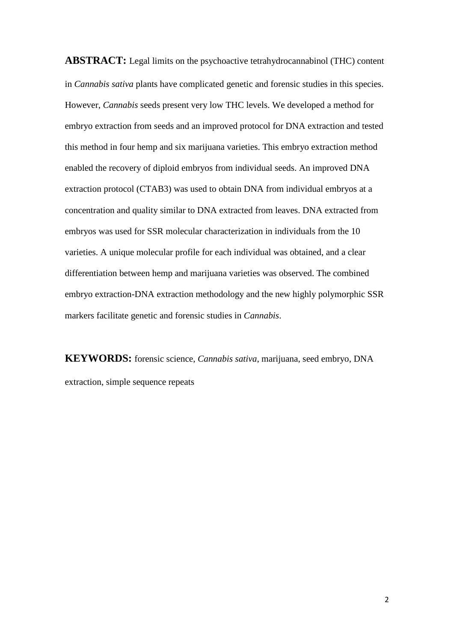**ABSTRACT:** Legal limits on the psychoactive tetrahydrocannabinol (THC) content in *Cannabis sativa* plants have complicated genetic and forensic studies in this species. However, *Cannabis* seeds present very low THC levels. We developed a method for embryo extraction from seeds and an improved protocol for DNA extraction and tested this method in four hemp and six marijuana varieties. This embryo extraction method enabled the recovery of diploid embryos from individual seeds. An improved DNA extraction protocol (CTAB3) was used to obtain DNA from individual embryos at a concentration and quality similar to DNA extracted from leaves. DNA extracted from embryos was used for SSR molecular characterization in individuals from the 10 varieties. A unique molecular profile for each individual was obtained, and a clear differentiation between hemp and marijuana varieties was observed. The combined embryo extraction-DNA extraction methodology and the new highly polymorphic SSR markers facilitate genetic and forensic studies in *Cannabis*.

**KEYWORDS:** forensic science, *Cannabis sativa*, marijuana, seed embryo, DNA extraction, simple sequence repeats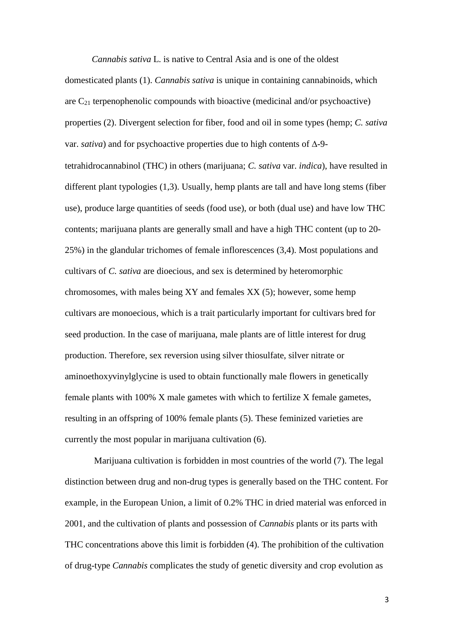*Cannabis sativa* L. is native to Central Asia and is one of the oldest domesticated plants (1). *Cannabis sativa* is unique in containing cannabinoids, which are  $C_{21}$  terpenophenolic compounds with bioactive (medicinal and/or psychoactive) properties (2). Divergent selection for fiber, food and oil in some types (hemp; *C. sativa* var. *sativa*) and for psychoactive properties due to high contents of ∆-9 tetrahidrocannabinol (THC) in others (marijuana; *C. sativa* var. *indica*), have resulted in different plant typologies (1,3). Usually, hemp plants are tall and have long stems (fiber use), produce large quantities of seeds (food use), or both (dual use) and have low THC contents; marijuana plants are generally small and have a high THC content (up to 20- 25%) in the glandular trichomes of female inflorescences (3,4). Most populations and cultivars of *C. sativa* are dioecious, and sex is determined by heteromorphic chromosomes, with males being XY and females XX (5); however, some hemp cultivars are monoecious, which is a trait particularly important for cultivars bred for seed production. In the case of marijuana, male plants are of little interest for drug production. Therefore, sex reversion using silver thiosulfate, silver nitrate or aminoethoxyvinylglycine is used to obtain functionally male flowers in genetically female plants with 100% X male gametes with which to fertilize X female gametes, resulting in an offspring of 100% female plants (5). These feminized varieties are currently the most popular in marijuana cultivation (6).

Marijuana cultivation is forbidden in most countries of the world (7). The legal distinction between drug and non-drug types is generally based on the THC content. For example, in the European Union, a limit of 0.2% THC in dried material was enforced in 2001, and the cultivation of plants and possession of *Cannabis* plants or its parts with THC concentrations above this limit is forbidden (4). The prohibition of the cultivation of drug-type *Cannabis* complicates the study of genetic diversity and crop evolution as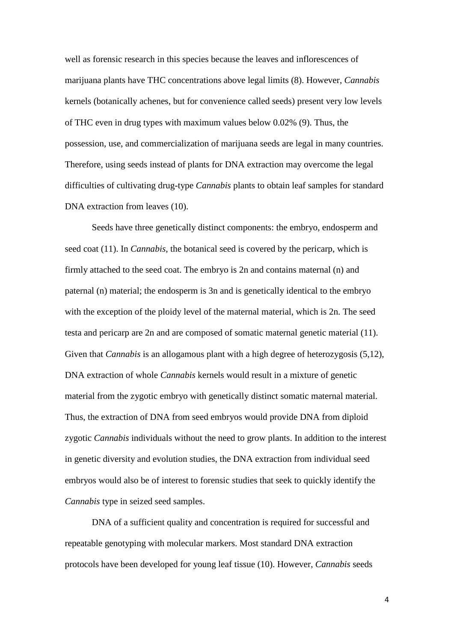well as forensic research in this species because the leaves and inflorescences of marijuana plants have THC concentrations above legal limits (8). However, *Cannabis* kernels (botanically achenes, but for convenience called seeds) present very low levels of THC even in drug types with maximum values below 0.02% (9). Thus, the possession, use, and commercialization of marijuana seeds are legal in many countries. Therefore, using seeds instead of plants for DNA extraction may overcome the legal difficulties of cultivating drug-type *Cannabis* plants to obtain leaf samples for standard DNA extraction from leaves (10).

Seeds have three genetically distinct components: the embryo, endosperm and seed coat (11). In *Cannabis*, the botanical seed is covered by the pericarp, which is firmly attached to the seed coat. The embryo is 2n and contains maternal (n) and paternal (n) material; the endosperm is 3n and is genetically identical to the embryo with the exception of the ploidy level of the maternal material, which is 2n. The seed testa and pericarp are 2n and are composed of somatic maternal genetic material (11). Given that *Cannabis* is an allogamous plant with a high degree of heterozygosis (5,12), DNA extraction of whole *Cannabis* kernels would result in a mixture of genetic material from the zygotic embryo with genetically distinct somatic maternal material. Thus, the extraction of DNA from seed embryos would provide DNA from diploid zygotic *Cannabis* individuals without the need to grow plants. In addition to the interest in genetic diversity and evolution studies, the DNA extraction from individual seed embryos would also be of interest to forensic studies that seek to quickly identify the *Cannabis* type in seized seed samples.

DNA of a sufficient quality and concentration is required for successful and repeatable genotyping with molecular markers. Most standard DNA extraction protocols have been developed for young leaf tissue (10). However, *Cannabis* seeds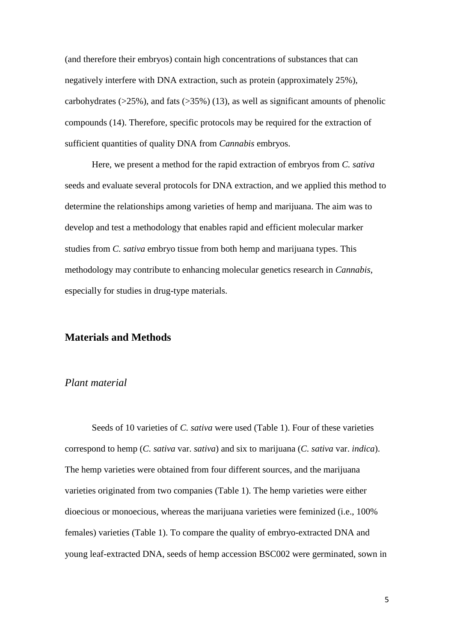(and therefore their embryos) contain high concentrations of substances that can negatively interfere with DNA extraction, such as protein (approximately 25%), carbohydrates ( $>25\%$ ), and fats ( $>35\%$ ) (13), as well as significant amounts of phenolic compounds (14). Therefore, specific protocols may be required for the extraction of sufficient quantities of quality DNA from *Cannabis* embryos.

Here, we present a method for the rapid extraction of embryos from *C. sativa* seeds and evaluate several protocols for DNA extraction, and we applied this method to determine the relationships among varieties of hemp and marijuana. The aim was to develop and test a methodology that enables rapid and efficient molecular marker studies from *C. sativa* embryo tissue from both hemp and marijuana types. This methodology may contribute to enhancing molecular genetics research in *Cannabis*, especially for studies in drug-type materials.

### **Materials and Methods**

#### *Plant material*

Seeds of 10 varieties of *C. sativa* were used (Table 1). Four of these varieties correspond to hemp (*C. sativa* var. *sativa*) and six to marijuana (*C. sativa* var. *indica*). The hemp varieties were obtained from four different sources, and the marijuana varieties originated from two companies (Table 1). The hemp varieties were either dioecious or monoecious, whereas the marijuana varieties were feminized (i.e., 100% females) varieties (Table 1). To compare the quality of embryo-extracted DNA and young leaf-extracted DNA, seeds of hemp accession BSC002 were germinated, sown in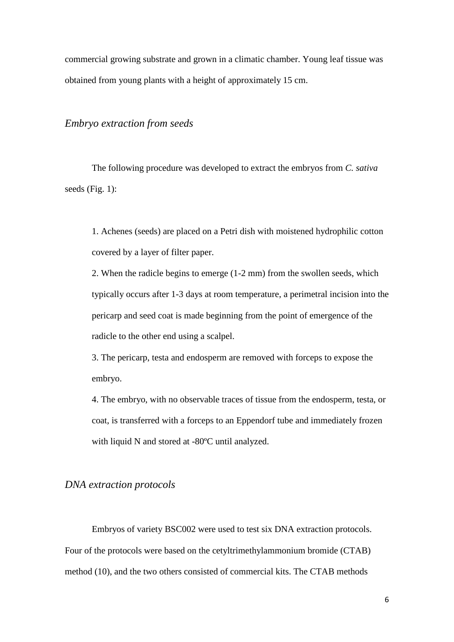commercial growing substrate and grown in a climatic chamber. Young leaf tissue was obtained from young plants with a height of approximately 15 cm.

# *Embryo extraction from seeds*

The following procedure was developed to extract the embryos from *C. sativa* seeds (Fig. 1):

1. Achenes (seeds) are placed on a Petri dish with moistened hydrophilic cotton covered by a layer of filter paper.

2. When the radicle begins to emerge (1-2 mm) from the swollen seeds, which typically occurs after 1-3 days at room temperature, a perimetral incision into the pericarp and seed coat is made beginning from the point of emergence of the radicle to the other end using a scalpel.

3. The pericarp, testa and endosperm are removed with forceps to expose the embryo.

4. The embryo, with no observable traces of tissue from the endosperm, testa, or coat, is transferred with a forceps to an Eppendorf tube and immediately frozen with liquid N and stored at -80ºC until analyzed.

#### *DNA extraction protocols*

Embryos of variety BSC002 were used to test six DNA extraction protocols. Four of the protocols were based on the cetyltrimethylammonium bromide (CTAB) method (10), and the two others consisted of commercial kits. The CTAB methods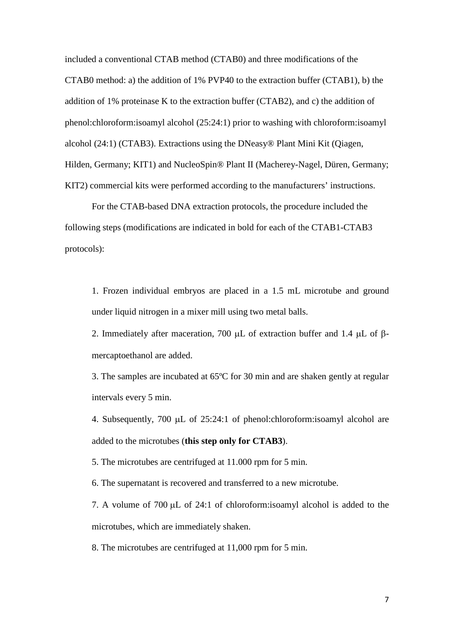included a conventional CTAB method (CTAB0) and three modifications of the CTAB0 method: a) the addition of 1% PVP40 to the extraction buffer (CTAB1), b) the addition of 1% proteinase K to the extraction buffer (CTAB2), and c) the addition of phenol:chloroform:isoamyl alcohol (25:24:1) prior to washing with chloroform:isoamyl alcohol (24:1) (CTAB3). Extractions using the [DNeasy® Plant Mini Kit \(Qiagen,](http://www.google.es/url?sa=t&rct=j&q=&esrc=s&source=web&cd=1&cad=rja&ved=0CEgQFjAA&url=http%3A%2F%2Fwww.qiagen.com%2FProducts%2FCatalog%2FSample-Technologies%2FDNA-Sample-Technologies%2FGenomic-DNA%2FDNeasy-Plant-Mini-Kit&ei=VAPtUcKSK-aP7Aa8z4GIDw&usg=AFQjCNEqZE7WuQyqEq4Q51lcmgAApOrPfA&sig2=j2hV5vXm-W0scg-2AguTiA&bvm=bv.49478099,d.ZGU) Hilden, Germany; KIT1) and NucleoSpin® Plant II (Macherey-Nagel, Düren, Germany; KIT2) commercial kits were performed according to the manufacturers' instructions.

For the CTAB-based DNA extraction protocols, the procedure included the following steps (modifications are indicated in bold for each of the CTAB1-CTAB3 protocols):

1. Frozen individual embryos are placed in a 1.5 mL microtube and ground under liquid nitrogen in a mixer mill using two metal balls.

2. Immediately after maceration, 700 µL of extraction buffer and 1.4 µL of βmercaptoethanol are added.

3. The samples are incubated at 65ºC for 30 min and are shaken gently at regular intervals every 5 min.

4. Subsequently, 700 µL of 25:24:1 of phenol:chloroform:isoamyl alcohol are added to the microtubes (**this step only for CTAB3**).

5. The microtubes are centrifuged at 11.000 rpm for 5 min.

6. The supernatant is recovered and transferred to a new microtube.

7. A volume of 700 µL of 24:1 of chloroform:isoamyl alcohol is added to the microtubes, which are immediately shaken.

8. The microtubes are centrifuged at 11,000 rpm for 5 min.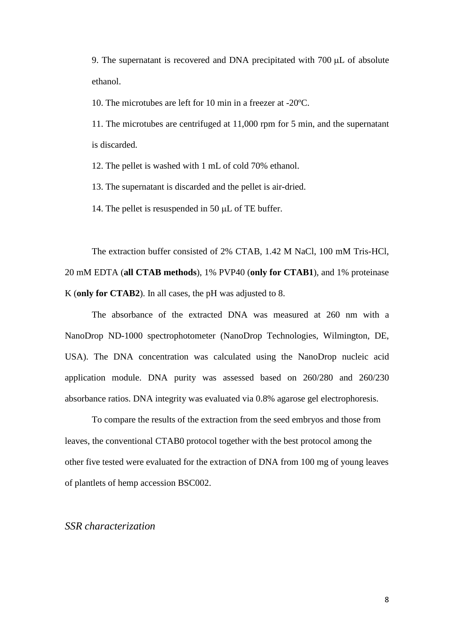9. The supernatant is recovered and DNA precipitated with 700 µL of absolute ethanol.

10. The microtubes are left for 10 min in a freezer at -20ºC.

11. The microtubes are centrifuged at 11,000 rpm for 5 min, and the supernatant is discarded.

12. The pellet is washed with 1 mL of cold 70% ethanol.

13. The supernatant is discarded and the pellet is air-dried.

14. The pellet is resuspended in 50 µL of TE buffer.

The extraction buffer consisted of 2% CTAB, 1.42 M NaCl, 100 mM Tris-HCl, 20 mM EDTA (**all CTAB methods**), 1% PVP40 (**only for CTAB1**), and 1% proteinase K (**only for CTAB2**). In all cases, the pH was adjusted to 8.

The absorbance of the extracted DNA was measured at 260 nm with a NanoDrop ND-1000 spectrophotometer (NanoDrop Technologies, Wilmington, DE, USA). The DNA concentration was calculated using the NanoDrop nucleic acid application module. DNA purity was assessed based on 260/280 and 260/230 absorbance ratios. DNA integrity was evaluated via 0.8% agarose gel electrophoresis.

To compare the results of the extraction from the seed embryos and those from leaves, the conventional CTAB0 protocol together with the best protocol among the other five tested were evaluated for the extraction of DNA from 100 mg of young leaves of plantlets of hemp accession BSC002.

#### *SSR characterization*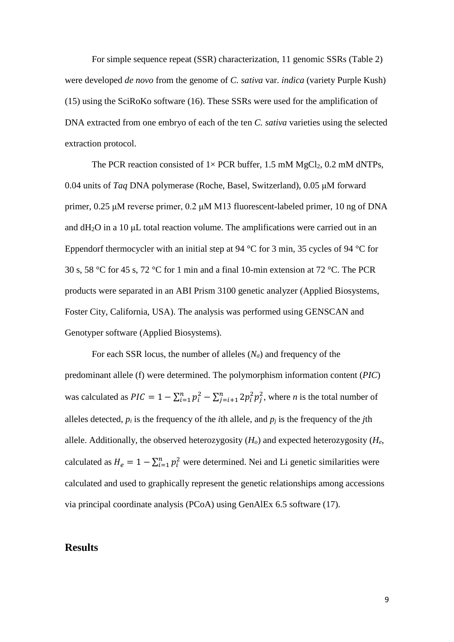For simple sequence repeat (SSR) characterization, 11 genomic SSRs (Table 2) were developed *de novo* from the genome of *C. sativa* var. *indica* (variety Purple Kush) (15) using the SciRoKo software (16). These SSRs were used for the amplification of DNA extracted from one embryo of each of the ten *C. sativa* varieties using the selected extraction protocol.

The PCR reaction consisted of  $1 \times PCR$  buffer, 1.5 mM MgCl<sub>2</sub>, 0.2 mM dNTPs, 0.04 units of *Taq* DNA polymerase (Roche, Basel, Switzerland), 0.05 μM forward primer, 0.25 μM reverse primer, 0.2 μM M13 fluorescent-labeled primer, 10 ng of DNA and  $dH_2O$  in a 10  $\mu$ L total reaction volume. The amplifications were carried out in an Eppendorf thermocycler with an initial step at 94 °C for 3 min, 35 cycles of 94 °C for 30 s, 58 °C for 45 s, 72 °C for 1 min and a final 10-min extension at 72 °C. The PCR products were separated in an ABI Prism 3100 genetic analyzer (Applied Biosystems, Foster City, California, USA). The analysis was performed using GENSCAN and Genotyper software (Applied Biosystems).

For each SSR locus, the number of alleles (*Na*) and frequency of the predominant allele (f) were determined. The polymorphism information content (*PIC*) was calculated as  $PIC = 1 - \sum_{i=1}^{n} p_i^2 - \sum_{j=i+1}^{n} 2p_i^2 p_j^2$ , where *n* is the total number of alleles detected,  $p_i$  is the frequency of the *i*th allele, and  $p_i$  is the frequency of the *j*th allele. Additionally, the observed heterozygosity (*Ho*) and expected heterozygosity (*He*, calculated as  $H_e = 1 - \sum_{i=1}^{n} p_i^2$  were determined. Nei and Li genetic similarities were calculated and used to graphically represent the genetic relationships among accessions via principal coordinate analysis (PCoA) using GenAlEx 6.5 software (17).

#### **Results**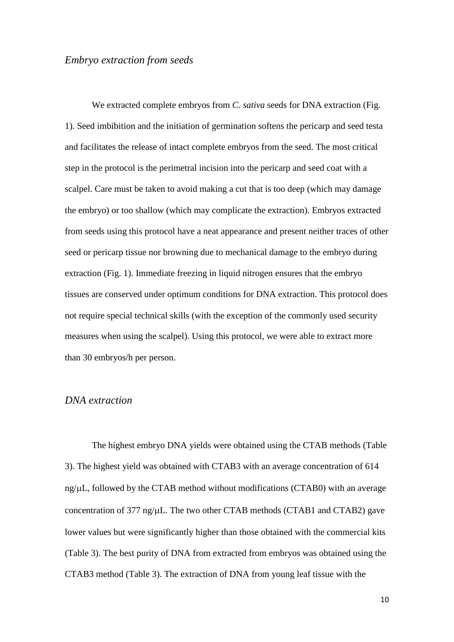### *Embryo extraction from seeds*

We extracted complete embryos from *C. sativa* seeds for DNA extraction (Fig. 1). Seed imbibition and the initiation of germination softens the pericarp and seed testa and facilitates the release of intact complete embryos from the seed. The most critical step in the protocol is the perimetral incision into the pericarp and seed coat with a scalpel. Care must be taken to avoid making a cut that is too deep (which may damage the embryo) or too shallow (which may complicate the extraction). Embryos extracted from seeds using this protocol have a neat appearance and present neither traces of other seed or pericarp tissue nor browning due to mechanical damage to the embryo during extraction (Fig. 1). Immediate freezing in liquid nitrogen ensures that the embryo tissues are conserved under optimum conditions for DNA extraction. This protocol does not require special technical skills (with the exception of the commonly used security measures when using the scalpel). Using this protocol, we were able to extract more than 30 embryos/h per person.

#### *DNA extraction*

The highest embryo DNA yields were obtained using the CTAB methods (Table 3). The highest yield was obtained with CTAB3 with an average concentration of 614 ng/µL, followed by the CTAB method without modifications (CTAB0) with an average concentration of 377 ng/µL. The two other CTAB methods (CTAB1 and CTAB2) gave lower values but were significantly higher than those obtained with the commercial kits (Table 3). The best purity of DNA from extracted from embryos was obtained using the CTAB3 method (Table 3). The extraction of DNA from young leaf tissue with the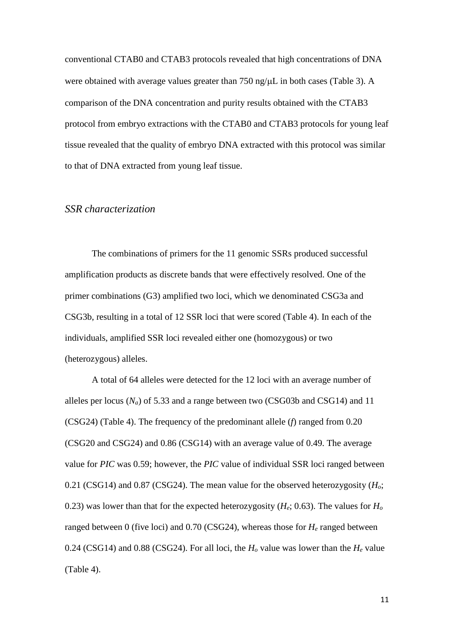conventional CTAB0 and CTAB3 protocols revealed that high concentrations of DNA were obtained with average values greater than 750 ng/ $\mu$ L in both cases (Table 3). A comparison of the DNA concentration and purity results obtained with the CTAB3 protocol from embryo extractions with the CTAB0 and CTAB3 protocols for young leaf tissue revealed that the quality of embryo DNA extracted with this protocol was similar to that of DNA extracted from young leaf tissue.

#### *SSR characterization*

The combinations of primers for the 11 genomic SSRs produced successful amplification products as discrete bands that were effectively resolved. One of the primer combinations (G3) amplified two loci, which we denominated CSG3a and CSG3b, resulting in a total of 12 SSR loci that were scored (Table 4). In each of the individuals, amplified SSR loci revealed either one (homozygous) or two (heterozygous) alleles.

A total of 64 alleles were detected for the 12 loci with an average number of alleles per locus  $(N_a)$  of 5.33 and a range between two (CSG03b and CSG14) and 11 (CSG24) (Table 4). The frequency of the predominant allele (*f*) ranged from 0.20 (CSG20 and CSG24) and 0.86 (CSG14) with an average value of 0.49. The average value for *PIC* was 0.59; however, the *PIC* value of individual SSR loci ranged between 0.21 (CSG14) and 0.87 (CSG24). The mean value for the observed heterozygosity (*Ho*; 0.23) was lower than that for the expected heterozygosity (*He*; 0.63). The values for *Ho* ranged between 0 (five loci) and 0.70 (CSG24), whereas those for *He* ranged between 0.24 (CSG14) and 0.88 (CSG24). For all loci, the  $H_0$  value was lower than the  $H_e$  value (Table 4).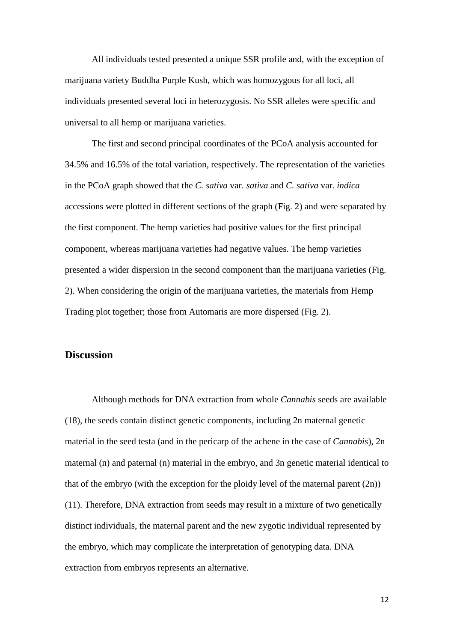All individuals tested presented a unique SSR profile and, with the exception of marijuana variety Buddha Purple Kush, which was homozygous for all loci, all individuals presented several loci in heterozygosis. No SSR alleles were specific and universal to all hemp or marijuana varieties.

The first and second principal coordinates of the PCoA analysis accounted for 34.5% and 16.5% of the total variation, respectively. The representation of the varieties in the PCoA graph showed that the *C. sativa* var. *sativa* and *C. sativa* var. *indica* accessions were plotted in different sections of the graph (Fig. 2) and were separated by the first component. The hemp varieties had positive values for the first principal component, whereas marijuana varieties had negative values. The hemp varieties presented a wider dispersion in the second component than the marijuana varieties (Fig. 2). When considering the origin of the marijuana varieties, the materials from Hemp Trading plot together; those from Automaris are more dispersed (Fig. 2).

#### **Discussion**

Although methods for DNA extraction from whole *Cannabis* seeds are available (18), the seeds contain distinct genetic components, including 2n maternal genetic material in the seed testa (and in the pericarp of the achene in the case of *Cannabis*), 2n maternal (n) and paternal (n) material in the embryo, and 3n genetic material identical to that of the embryo (with the exception for the ploidy level of the maternal parent  $(2n)$ ) (11). Therefore, DNA extraction from seeds may result in a mixture of two genetically distinct individuals, the maternal parent and the new zygotic individual represented by the embryo, which may complicate the interpretation of genotyping data. DNA extraction from embryos represents an alternative.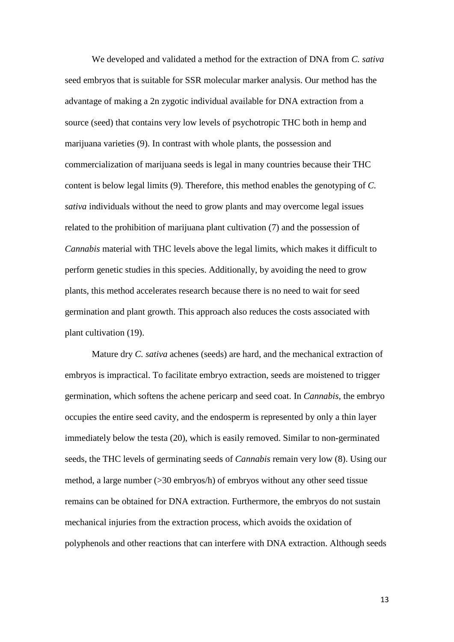We developed and validated a method for the extraction of DNA from *C. sativa* seed embryos that is suitable for SSR molecular marker analysis. Our method has the advantage of making a 2n zygotic individual available for DNA extraction from a source (seed) that contains very low levels of psychotropic THC both in hemp and marijuana varieties (9). In contrast with whole plants, the possession and commercialization of marijuana seeds is legal in many countries because their THC content is below legal limits (9). Therefore, this method enables the genotyping of *C. sativa* individuals without the need to grow plants and may overcome legal issues related to the prohibition of marijuana plant cultivation (7) and the possession of *Cannabis* material with THC levels above the legal limits, which makes it difficult to perform genetic studies in this species. Additionally, by avoiding the need to grow plants, this method accelerates research because there is no need to wait for seed germination and plant growth. This approach also reduces the costs associated with plant cultivation (19).

Mature dry *C. sativa* achenes (seeds) are hard, and the mechanical extraction of embryos is impractical. To facilitate embryo extraction, seeds are moistened to trigger germination, which softens the achene pericarp and seed coat. In *Cannabis*, the embryo occupies the entire seed cavity, and the endosperm is represented by only a thin layer immediately below the testa (20), which is easily removed. Similar to non-germinated seeds, the THC levels of germinating seeds of *Cannabis* remain very low (8). Using our method, a large number (>30 embryos/h) of embryos without any other seed tissue remains can be obtained for DNA extraction. Furthermore, the embryos do not sustain mechanical injuries from the extraction process, which avoids the oxidation of polyphenols and other reactions that can interfere with DNA extraction. Although seeds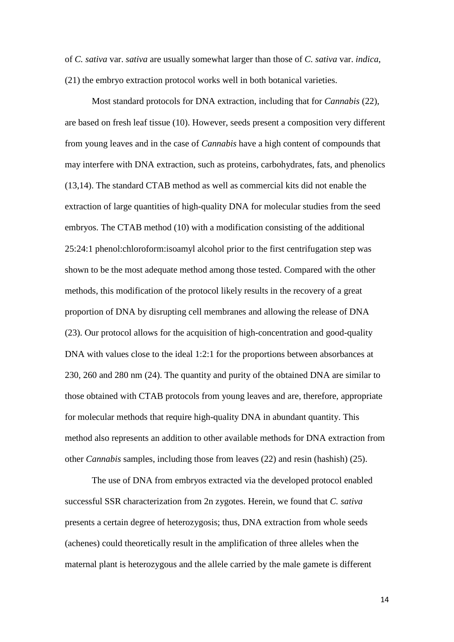of *C. sativa* var. *sativa* are usually somewhat larger than those of *C. sativa* var. *indica*, (21) the embryo extraction protocol works well in both botanical varieties.

Most standard protocols for DNA extraction, including that for *Cannabis* (22), are based on fresh leaf tissue (10). However, seeds present a composition very different from young leaves and in the case of *Cannabis* have a high content of compounds that may interfere with DNA extraction, such as proteins, carbohydrates, fats, and phenolics (13,14). The standard CTAB method as well as commercial kits did not enable the extraction of large quantities of high-quality DNA for molecular studies from the seed embryos. The CTAB method (10) with a modification consisting of the additional 25:24:1 phenol:chloroform:isoamyl alcohol prior to the first centrifugation step was shown to be the most adequate method among those tested. Compared with the other methods, this modification of the protocol likely results in the recovery of a great proportion of DNA by disrupting cell membranes and allowing the release of DNA (23). Our protocol allows for the acquisition of high-concentration and good-quality DNA with values close to the ideal 1:2:1 for the proportions between absorbances at 230, 260 and 280 nm (24). The quantity and purity of the obtained DNA are similar to those obtained with CTAB protocols from young leaves and are, therefore, appropriate for molecular methods that require high-quality DNA in abundant quantity. This method also represents an addition to other available methods for DNA extraction from other *Cannabis* samples, including those from leaves (22) and resin (hashish) (25).

The use of DNA from embryos extracted via the developed protocol enabled successful SSR characterization from 2n zygotes. Herein, we found that *C. sativa* presents a certain degree of heterozygosis; thus, DNA extraction from whole seeds (achenes) could theoretically result in the amplification of three alleles when the maternal plant is heterozygous and the allele carried by the male gamete is different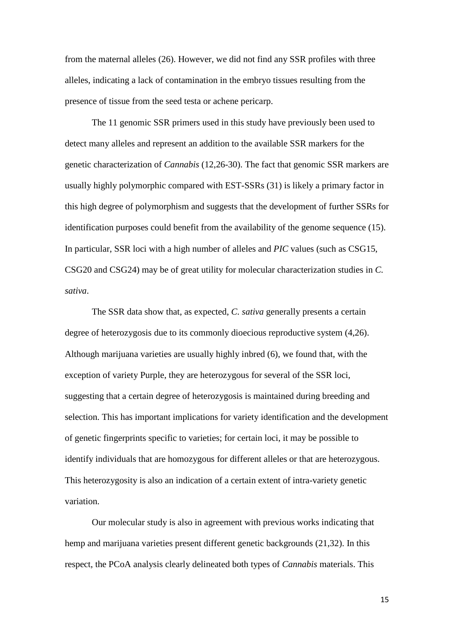from the maternal alleles (26). However, we did not find any SSR profiles with three alleles, indicating a lack of contamination in the embryo tissues resulting from the presence of tissue from the seed testa or achene pericarp.

The 11 genomic SSR primers used in this study have previously been used to detect many alleles and represent an addition to the available SSR markers for the genetic characterization of *Cannabis* (12,26-30). The fact that genomic SSR markers are usually highly polymorphic compared with EST-SSRs (31) is likely a primary factor in this high degree of polymorphism and suggests that the development of further SSRs for identification purposes could benefit from the availability of the genome sequence (15). In particular, SSR loci with a high number of alleles and *PIC* values (such as CSG15, CSG20 and CSG24) may be of great utility for molecular characterization studies in *C. sativa*.

The SSR data show that, as expected, *C. sativa* generally presents a certain degree of heterozygosis due to its commonly dioecious reproductive system (4,26). Although marijuana varieties are usually highly inbred (6), we found that, with the exception of variety Purple, they are heterozygous for several of the SSR loci, suggesting that a certain degree of heterozygosis is maintained during breeding and selection. This has important implications for variety identification and the development of genetic fingerprints specific to varieties; for certain loci, it may be possible to identify individuals that are homozygous for different alleles or that are heterozygous. This heterozygosity is also an indication of a certain extent of intra-variety genetic variation.

Our molecular study is also in agreement with previous works indicating that hemp and marijuana varieties present different genetic backgrounds (21,32). In this respect, the PCoA analysis clearly delineated both types of *Cannabis* materials. This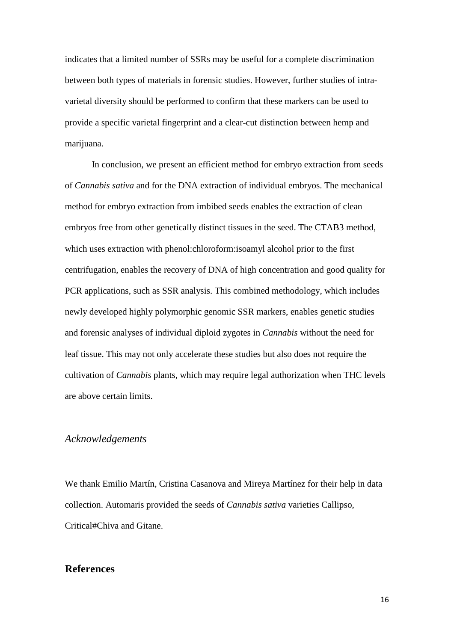indicates that a limited number of SSRs may be useful for a complete discrimination between both types of materials in forensic studies. However, further studies of intravarietal diversity should be performed to confirm that these markers can be used to provide a specific varietal fingerprint and a clear-cut distinction between hemp and marijuana.

In conclusion, we present an efficient method for embryo extraction from seeds of *Cannabis sativa* and for the DNA extraction of individual embryos. The mechanical method for embryo extraction from imbibed seeds enables the extraction of clean embryos free from other genetically distinct tissues in the seed. The CTAB3 method, which uses extraction with phenol:chloroform:isoamyl alcohol prior to the first centrifugation, enables the recovery of DNA of high concentration and good quality for PCR applications, such as SSR analysis. This combined methodology, which includes newly developed highly polymorphic genomic SSR markers, enables genetic studies and forensic analyses of individual diploid zygotes in *Cannabis* without the need for leaf tissue. This may not only accelerate these studies but also does not require the cultivation of *Cannabis* plants, which may require legal authorization when THC levels are above certain limits.

# *Acknowledgements*

We thank Emilio Martín, Cristina Casanova and Mireya Martínez for their help in data collection. Automaris provided the seeds of *Cannabis sativa* varieties Callipso, Critical#Chiva and Gitane.

# **References**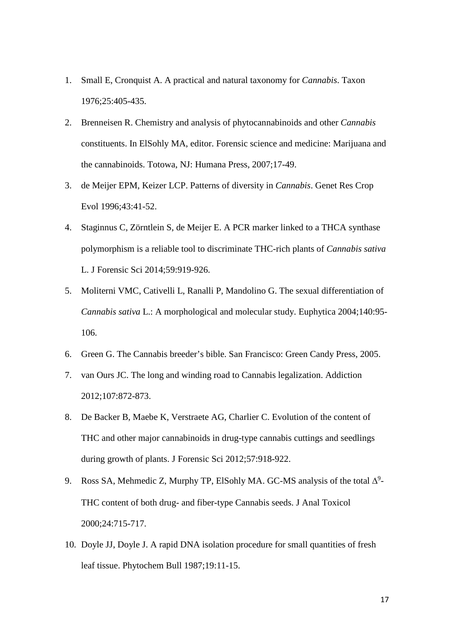- 1. Small E, Cronquist A. A practical and natural taxonomy for *Cannabis*. Taxon 1976;25:405-435.
- 2. Brenneisen R. Chemistry and analysis of phytocannabinoids and other *Cannabis* constituents. In ElSohly MA, editor. Forensic science and medicine: Marijuana and the cannabinoids. Totowa, NJ: Humana Press, 2007;17-49.
- 3. de Meijer EPM, Keizer LCP. Patterns of diversity in *Cannabis*. Genet Res Crop Evol 1996;43:41-52.
- 4. Staginnus C, Zörntlein S, de Meijer E. A PCR marker linked to a THCA synthase polymorphism is a reliable tool to discriminate THC-rich plants of *Cannabis sativa* L. J Forensic Sci 2014;59:919-926.
- 5. Moliterni VMC, Cativelli L, Ranalli P, Mandolino G. The sexual differentiation of *Cannabis sativa* L.: A morphological and molecular study. Euphytica 2004;140:95- 106.
- 6. Green G. The Cannabis breeder's bible. San Francisco: Green Candy Press, 2005.
- 7. van Ours JC. The long and winding road to Cannabis legalization. Addiction 2012;107:872-873.
- 8. De Backer B, Maebe K, Verstraete AG, Charlier C. Evolution of the content of THC and other major cannabinoids in drug-type cannabis cuttings and seedlings during growth of plants. J Forensic Sci 2012;57:918-922.
- 9. Ross SA, Mehmedic Z, Murphy TP, ElSohly MA. GC-MS analysis of the total  $\Delta^9$ -THC content of both drug- and fiber-type Cannabis seeds. J Anal Toxicol 2000;24:715-717.
- 10. Doyle JJ, Doyle J. A rapid DNA isolation procedure for small quantities of fresh leaf tissue. Phytochem Bull 1987;19:11-15.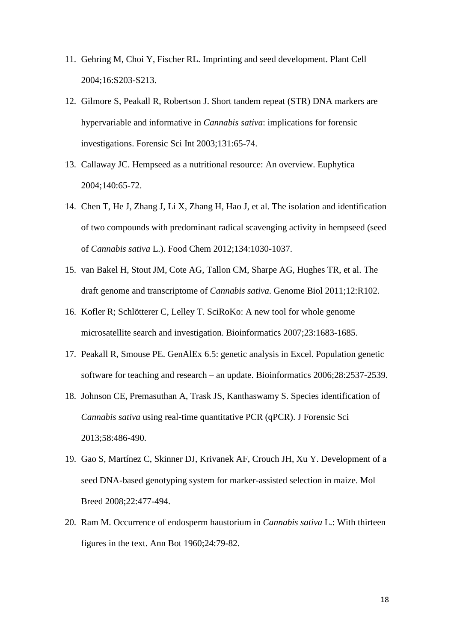- 11. Gehring M, Choi Y, Fischer RL. Imprinting and seed development. Plant Cell 2004;16:S203-S213.
- 12. Gilmore S, Peakall R, Robertson J. Short tandem repeat (STR) DNA markers are hypervariable and informative in *Cannabis sativa*: implications for forensic investigations. Forensic Sci Int 2003;131:65-74.
- 13. Callaway JC. Hempseed as a nutritional resource: An overview. Euphytica 2004;140:65-72.
- 14. Chen T, He J, Zhang J, Li X, Zhang H, Hao J, et al. The isolation and identification of two compounds with predominant radical scavenging activity in hempseed (seed of *Cannabis sativa* L.). Food Chem 2012;134:1030-1037.
- 15. van Bakel H, Stout JM, Cote AG, Tallon CM, Sharpe AG, Hughes TR, et al. The draft genome and transcriptome of *Cannabis sativa*. Genome Biol 2011;12:R102.
- 16. Kofler R; Schlötterer C, Lelley T. SciRoKo: A new tool for whole genome microsatellite search and investigation. Bioinformatics 2007;23:1683-1685.
- 17. Peakall R, Smouse PE. GenAlEx 6.5: genetic analysis in Excel. Population genetic software for teaching and research – an update. Bioinformatics 2006;28:2537-2539.
- 18. Johnson CE, Premasuthan A, Trask JS, Kanthaswamy S. Species identification of *Cannabis sativa* using real-time quantitative PCR (qPCR). J Forensic Sci 2013;58:486-490.
- 19. Gao S, Martínez C, Skinner DJ, Krivanek AF, Crouch JH, Xu Y. Development of a seed DNA-based genotyping system for marker-assisted selection in maize. Mol Breed 2008;22:477-494.
- 20. Ram M. Occurrence of endosperm haustorium in *Cannabis sativa* L.: With thirteen figures in the text. Ann Bot 1960;24:79-82.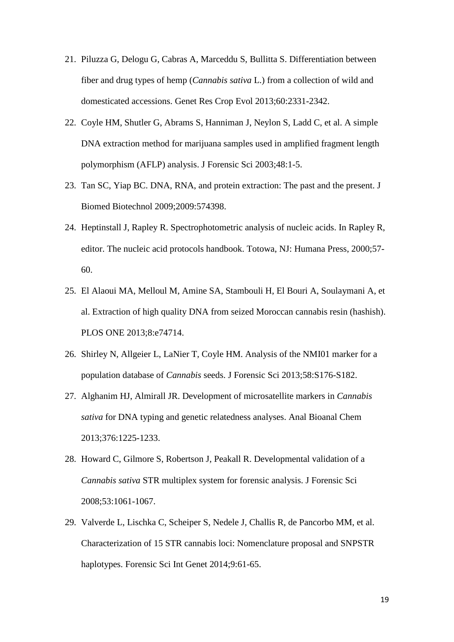- 21. Piluzza G, Delogu G, Cabras A, Marceddu S, Bullitta S. Differentiation between fiber and drug types of hemp (*Cannabis sativa* L.) from a collection of wild and domesticated accessions. Genet Res Crop Evol 2013;60:2331-2342.
- 22. Coyle HM, Shutler G, Abrams S, Hanniman J, Neylon S, Ladd C, et al. A simple DNA extraction method for marijuana samples used in amplified fragment length polymorphism (AFLP) analysis. J Forensic Sci 2003;48:1-5.
- 23. Tan SC, Yiap BC. DNA, RNA, and protein extraction: The past and the present. J Biomed Biotechnol 2009;2009:574398.
- 24. Heptinstall J, Rapley R. Spectrophotometric analysis of nucleic acids. In Rapley R, editor. The nucleic acid protocols handbook. Totowa, NJ: Humana Press, 2000;57- 60.
- 25. El Alaoui MA, Melloul M, Amine SA, Stambouli H, El Bouri A, Soulaymani A, et al. Extraction of high quality DNA from seized Moroccan cannabis resin (hashish). PLOS ONE 2013;8:e74714.
- 26. Shirley N, Allgeier L, LaNier T, Coyle HM. Analysis of the NMI01 marker for a population database of *Cannabis* seeds. J Forensic Sci 2013;58:S176-S182.
- 27. Alghanim HJ, Almirall JR. Development of microsatellite markers in *Cannabis sativa* for DNA typing and genetic relatedness analyses. Anal Bioanal Chem 2013;376:1225-1233.
- 28. Howard C, Gilmore S, Robertson J, Peakall R. Developmental validation of a *Cannabis sativa* STR multiplex system for forensic analysis. J Forensic Sci 2008;53:1061-1067.
- 29. Valverde L, Lischka C, Scheiper S, Nedele J, Challis R, de Pancorbo MM, et al. Characterization of 15 STR cannabis loci: Nomenclature proposal and SNPSTR haplotypes. Forensic Sci Int Genet 2014;9:61-65.